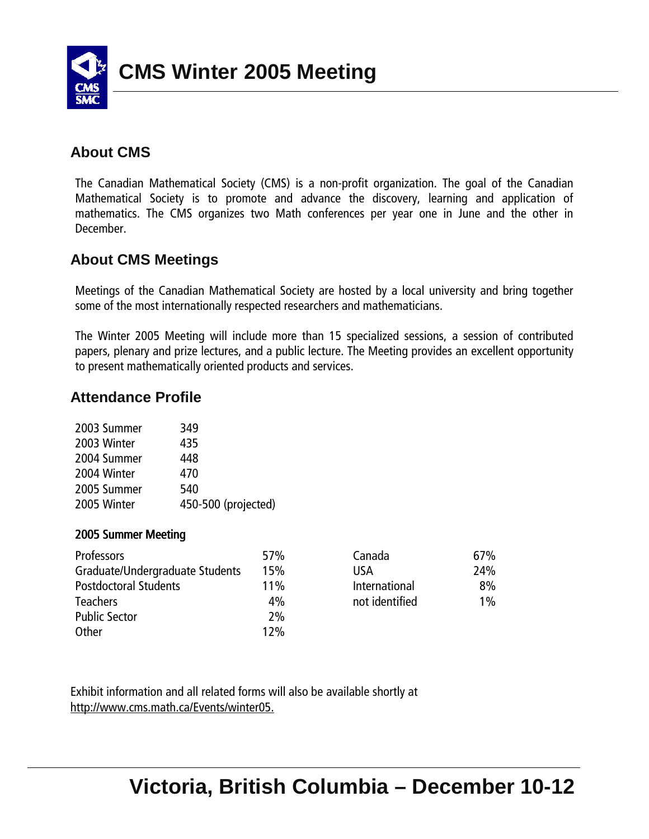

## **About CMS**

The Canadian Mathematical Society (CMS) is a non-profit organization. The goal of the Canadian Mathematical Society is to promote and advance the discovery, learning and application of mathematics. The CMS organizes two Math conferences per year one in June and the other in December.

## **About CMS Meetings**

Meetings of the Canadian Mathematical Society are hosted by a local university and bring together some of the most internationally respected researchers and mathematicians.

The Winter 2005 Meeting will include more than 15 specialized sessions, a session of contributed papers, plenary and prize lectures, and a public lecture. The Meeting provides an excellent opportunity to present mathematically oriented products and services.

## **Attendance Profile**

| 349                 |
|---------------------|
| 435                 |
| 448                 |
| 470                 |
| 540                 |
| 450-500 (projected) |
|                     |

#### 2005 Summer Meeting

| <b>Professors</b>               | 57% | Canada         | 67%   |
|---------------------------------|-----|----------------|-------|
| Graduate/Undergraduate Students | 15% | USA            | 24%   |
| <b>Postdoctoral Students</b>    | 11% | International  | 8%    |
| <b>Teachers</b>                 | 4%  | not identified | $1\%$ |
| <b>Public Sector</b>            | 2%  |                |       |
| Other                           | 12% |                |       |

Exhibit information and all related forms will also be available shortly at http://www.cms.math.ca/Events/winter05.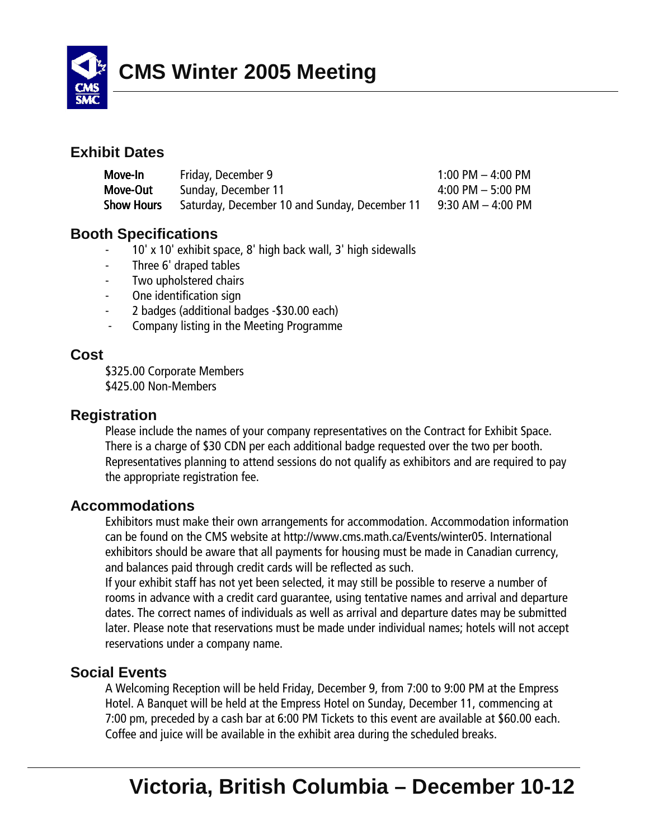

#### **Exhibit Dates**

| Move-In           | Friday, December 9                            | $1:00$ PM $-$ 4:00 PM |
|-------------------|-----------------------------------------------|-----------------------|
| Move-Out          | Sunday, December 11                           | $4:00$ PM $-5:00$ PM  |
| <b>Show Hours</b> | Saturday, December 10 and Sunday, December 11 | 9:30 AM – 4:00 PM     |

#### **Booth Specifications**

- 10' x 10' exhibit space, 8' high back wall, 3' high sidewalls
- Three 6' draped tables
- Two upholstered chairs
- One identification sign
- 2 badges (additional badges \$30.00 each)
- Company listing in the Meeting Programme

#### **Cost**

\$325.00 Corporate Members \$425.00 Non-Members

#### **Registration**

Please include the names of your company representatives on the Contract for Exhibit Space. There is a charge of \$30 CDN per each additional badge requested over the two per booth. Representatives planning to attend sessions do not qualify as exhibitors and are required to pay the appropriate registration fee.

#### **Accommodations**

Exhibitors must make their own arrangements for accommodation. Accommodation information can be found on the CMS website at http://www.cms.math.ca/Events/winter05. International exhibitors should be aware that all payments for housing must be made in Canadian currency, and balances paid through credit cards will be reflected as such.

If your exhibit staff has not yet been selected, it may still be possible to reserve a number of rooms in advance with a credit card guarantee, using tentative names and arrival and departure dates. The correct names of individuals as well as arrival and departure dates may be submitted later. Please note that reservations must be made under individual names; hotels will not accept reservations under a company name.

#### **Social Events**

A Welcoming Reception will be held Friday, December 9, from 7:00 to 9:00 PM at the Empress Hotel. A Banquet will be held at the Empress Hotel on Sunday, December 11, commencing at 7:00 pm, preceded by a cash bar at 6:00 PM Tickets to this event are available at \$60.00 each. Coffee and juice will be available in the exhibit area during the scheduled breaks.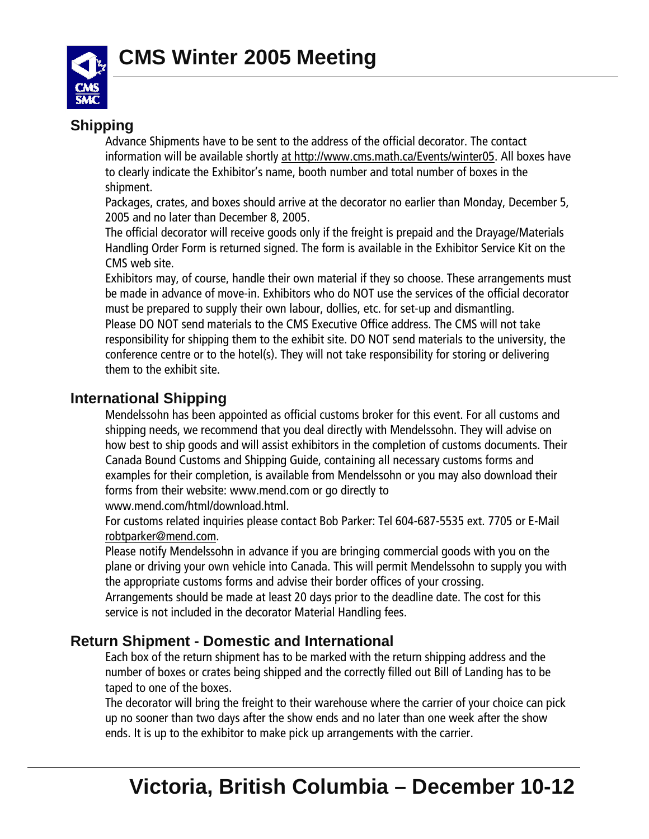

## **Shipping**

Advance Shipments have to be sent to the address of the official decorator. The contact information will be available shortly at http://www.cms.math.ca/Events/winter05. All boxes have to clearly indicate the Exhibitor's name, booth number and total number of boxes in the shipment.

Packages, crates, and boxes should arrive at the decorator no earlier than Monday, December 5, 2005 and no later than December 8, 2005.

The official decorator will receive goods only if the freight is prepaid and the Drayage/Materials Handling Order Form is returned signed. The form is available in the Exhibitor Service Kit on the CMS web site.

Exhibitors may, of course, handle their own material if they so choose. These arrangements must be made in advance of move-in. Exhibitors who do NOT use the services of the official decorator must be prepared to supply their own labour, dollies, etc. for set-up and dismantling. Please DO NOT send materials to the CMS Executive Office address. The CMS will not take responsibility for shipping them to the exhibit site. DO NOT send materials to the university, the conference centre or to the hotel(s). They will not take responsibility for storing or delivering them to the exhibit site.

## **International Shipping**

Mendelssohn has been appointed as official customs broker for this event. For all customs and shipping needs, we recommend that you deal directly with Mendelssohn. They will advise on how best to ship goods and will assist exhibitors in the completion of customs documents. Their Canada Bound Customs and Shipping Guide, containing all necessary customs forms and examples for their completion, is available from Mendelssohn or you may also download their forms from their website: www.mend.com or go directly to

www.mend.com/html/download.html.

For customs related inquiries please contact Bob Parker: Tel 604-687-5535 ext. 7705 or E-Mail robtparker@mend.com.

Please notify Mendelssohn in advance if you are bringing commercial goods with you on the plane or driving your own vehicle into Canada. This will permit Mendelssohn to supply you with the appropriate customs forms and advise their border offices of your crossing.

Arrangements should be made at least 20 days prior to the deadline date. The cost for this service is not included in the decorator Material Handling fees.

## **Return Shipment - Domestic and International**

Each box of the return shipment has to be marked with the return shipping address and the number of boxes or crates being shipped and the correctly filled out Bill of Landing has to be taped to one of the boxes.

The decorator will bring the freight to their warehouse where the carrier of your choice can pick up no sooner than two days after the show ends and no later than one week after the show ends. It is up to the exhibitor to make pick up arrangements with the carrier.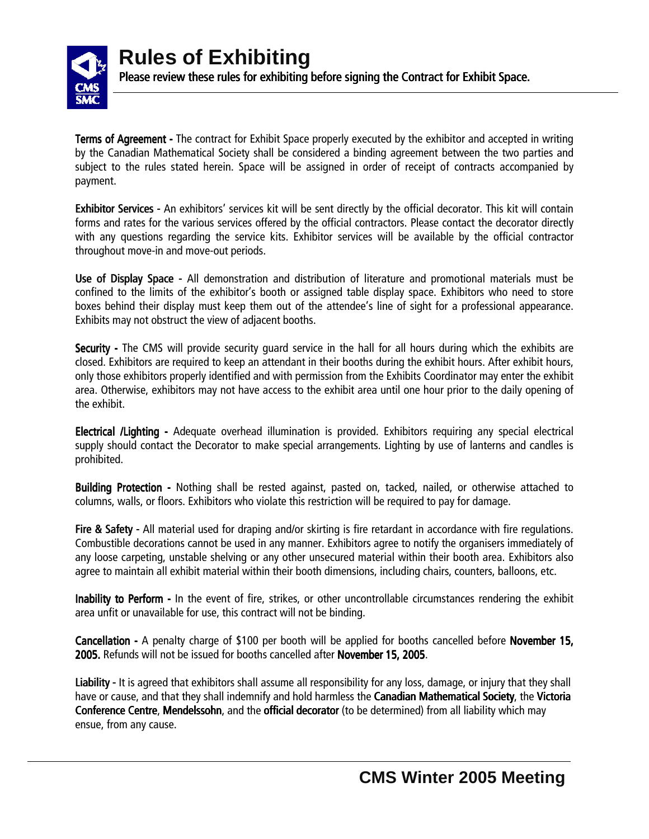

Terms of Agreement - The contract for Exhibit Space properly executed by the exhibitor and accepted in writing by the Canadian Mathematical Society shall be considered a binding agreement between the two parties and subject to the rules stated herein. Space will be assigned in order of receipt of contracts accompanied by payment.

**Exhibitor Services** - An exhibitors' services kit will be sent directly by the official decorator. This kit will contain forms and rates for the various services offered by the official contractors. Please contact the decorator directly with any questions regarding the service kits. Exhibitor services will be available by the official contractor throughout move-in and move-out periods.

Use of Display Space -All demonstration and distribution of literature and promotional materials must be confined to the limits of the exhibitorís booth or assigned table display space. Exhibitors who need to store boxes behind their display must keep them out of the attendee's line of sight for a professional appearance. Exhibits may not obstruct the view of adjacent booths.

Security - The CMS will provide security guard service in the hall for all hours during which the exhibits are closed. Exhibitors are required to keep an attendant in their booths during the exhibit hours. After exhibit hours, only those exhibitors properly identified and with permission from the Exhibits Coordinator may enter the exhibit area. Otherwise, exhibitors may not have access to the exhibit area until one hour prior to the daily opening of the exhibit.

Electrical /Lighting - Adequate overhead illumination is provided. Exhibitors requiring any special electrical supply should contact the Decorator to make special arrangements. Lighting by use of lanterns and candles is prohibited.

Building Protection - Nothing shall be rested against, pasted on, tacked, nailed, or otherwise attached to columns, walls, or floors. Exhibitors who violate this restriction will be required to pay for damage.

Fire & Safety - All material used for draping and/or skirting is fire retardant in accordance with fire regulations. Combustible decorations cannot be used in any manner. Exhibitors agree to notify the organisers immediately of any loose carpeting, unstable shelving or any other unsecured material within their booth area. Exhibitors also agree to maintain all exhibit material within their booth dimensions, including chairs, counters, balloons, etc.

Inability to Perform - In the event of fire, strikes, or other uncontrollable circumstances rendering the exhibit area unfit or unavailable for use, this contract will not be binding.

Cancellation - A penalty charge of \$100 per booth will be applied for booths cancelled before November 15, 2005. Refunds will not be issued for booths cancelled after November 15, 2005.

Liability - It is agreed that exhibitors shall assume all responsibility for any loss, damage, or injury that they shall have or cause, and that they shall indemnify and hold harmless the Canadian Mathematical Society, the Victoria Conference Centre, Mendelssohn, and the official decorator (to be determined) from all liability which may ensue, from any cause.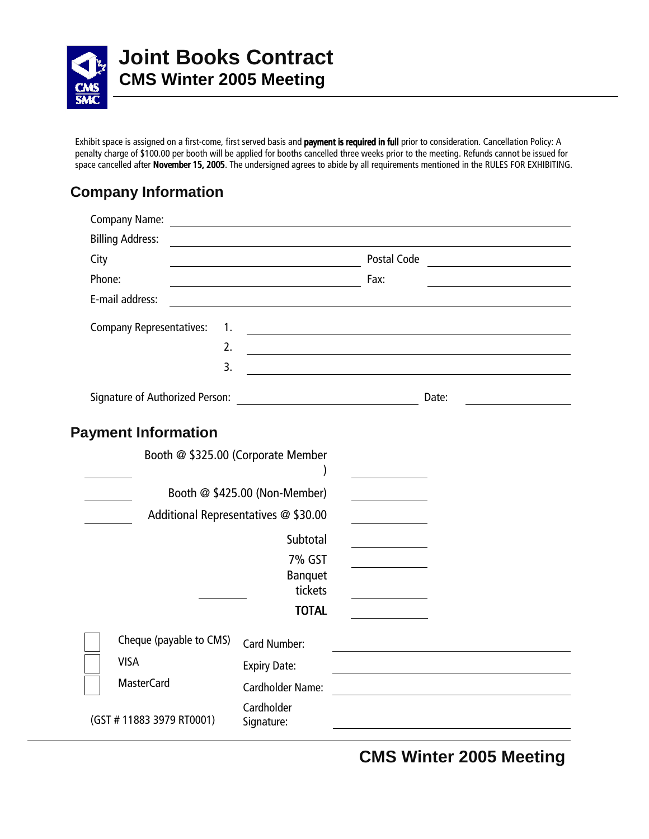

# **Joint Books Contract CMS Winter 2005 Meeting**

Exhibit space is assigned on a first-come, first served basis and payment is required in full prior to consideration. Cancellation Policy: A penalty charge of \$100.00 per booth will be applied for booths cancelled three weeks prior to the meeting. Refunds cannot be issued for space cancelled after November 15, 2005. The undersigned agrees to abide by all requirements mentioned in the RULES FOR EXHIBITING.

# **Company Information**

|        | <b>Company Name:</b>                  | <u> 1989 - Johann Stoff, deutscher Stoffen und der Stoffen und der Stoffen und der Stoffen und der Stoffen und der</u> |                                                      |  |
|--------|---------------------------------------|------------------------------------------------------------------------------------------------------------------------|------------------------------------------------------|--|
|        | <b>Billing Address:</b>               |                                                                                                                        |                                                      |  |
| City   |                                       |                                                                                                                        | Postal Code                                          |  |
| Phone: |                                       | <u> 1980 - Jan Samuel Barbara, poeta establecidad en la contrada de la contrada de la contrada de la contrada de</u>   | Fax:                                                 |  |
|        | E-mail address:                       |                                                                                                                        |                                                      |  |
|        | <b>Company Representatives:</b><br>1. |                                                                                                                        | <u> 1980 - Johann Barn, fransk politik (f. 1980)</u> |  |
|        | 2.                                    |                                                                                                                        |                                                      |  |
|        | 3.                                    |                                                                                                                        |                                                      |  |
|        |                                       |                                                                                                                        | Date:                                                |  |
|        | <b>Payment Information</b>            |                                                                                                                        |                                                      |  |
|        |                                       | Booth @ \$325.00 (Corporate Member                                                                                     |                                                      |  |
|        |                                       |                                                                                                                        |                                                      |  |
|        |                                       | Booth @ \$425.00 (Non-Member)                                                                                          |                                                      |  |
|        |                                       | Additional Representatives @ \$30.00                                                                                   |                                                      |  |
|        |                                       | Subtotal                                                                                                               |                                                      |  |
|        |                                       | 7% GST                                                                                                                 |                                                      |  |
|        |                                       | Banquet                                                                                                                |                                                      |  |
|        |                                       | tickets<br><b>TOTAL</b>                                                                                                |                                                      |  |
|        |                                       |                                                                                                                        |                                                      |  |
|        | Cheque (payable to CMS)               | <b>Card Number:</b>                                                                                                    |                                                      |  |
|        | <b>VISA</b>                           | <b>Expiry Date:</b>                                                                                                    |                                                      |  |
|        | <b>MasterCard</b>                     | <b>Cardholder Name:</b>                                                                                                |                                                      |  |
|        | (GST #11883 3979 RT0001)              | Cardholder<br>Signature:                                                                                               |                                                      |  |

# **CMS Winter 2005 Meeting**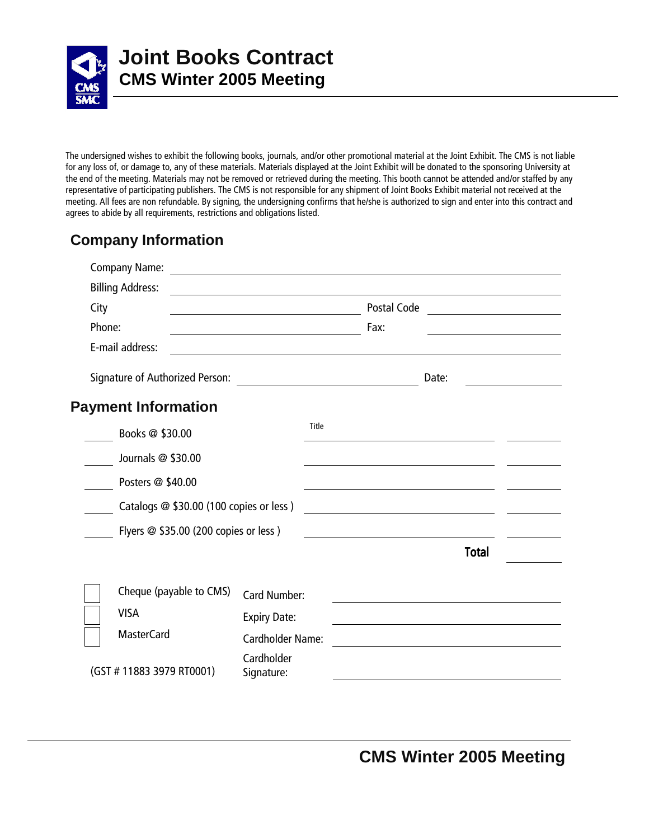

The undersigned wishes to exhibit the following books, journals, and/or other promotional material at the Joint Exhibit. The CMS is not liable for any loss of, or damage to, any of these materials. Materials displayed at the Joint Exhibit will be donated to the sponsoring University at the end of the meeting. Materials may not be removed or retrieved during the meeting. This booth cannot be attended and/or staffed by any representative of participating publishers. The CMS is not responsible for any shipment of Joint Books Exhibit material not received at the meeting. All fees are non refundable. By signing, the undersigning confirms that he/she is authorized to sign and enter into this contract and agrees to abide by all requirements, restrictions and obligations listed.

## **Company Information**

|        | <b>Company Name:</b>                    | <u> 1980 - Andrea Andrew Maria (h. 1980).</u> |       |             |       |              |  |
|--------|-----------------------------------------|-----------------------------------------------|-------|-------------|-------|--------------|--|
|        | <b>Billing Address:</b>                 |                                               |       |             |       |              |  |
| City   |                                         |                                               |       | Postal Code |       |              |  |
| Phone: |                                         |                                               |       | Fax:        |       |              |  |
|        | E-mail address:                         |                                               |       |             |       |              |  |
|        | Signature of Authorized Person:         |                                               |       |             | Date: |              |  |
|        | <b>Payment Information</b>              |                                               |       |             |       |              |  |
|        | Books @ \$30.00                         |                                               | Title |             |       |              |  |
|        | Journals @ \$30.00                      |                                               |       |             |       |              |  |
|        | Posters @ \$40.00                       |                                               |       |             |       |              |  |
|        | Catalogs @ \$30.00 (100 copies or less) |                                               |       |             |       |              |  |
|        | Flyers @ \$35.00 (200 copies or less)   |                                               |       |             |       |              |  |
|        |                                         |                                               |       |             |       | <b>Total</b> |  |
|        | Cheque (payable to CMS)                 | Card Number:                                  |       |             |       |              |  |
|        | <b>VISA</b>                             | <b>Expiry Date:</b>                           |       |             |       |              |  |
|        | <b>MasterCard</b>                       | Cardholder Name:                              |       |             |       |              |  |
|        | (GST #11883 3979 RT0001)                | Cardholder<br>Signature:                      |       |             |       |              |  |

**CMS Winter 2005 Meeting**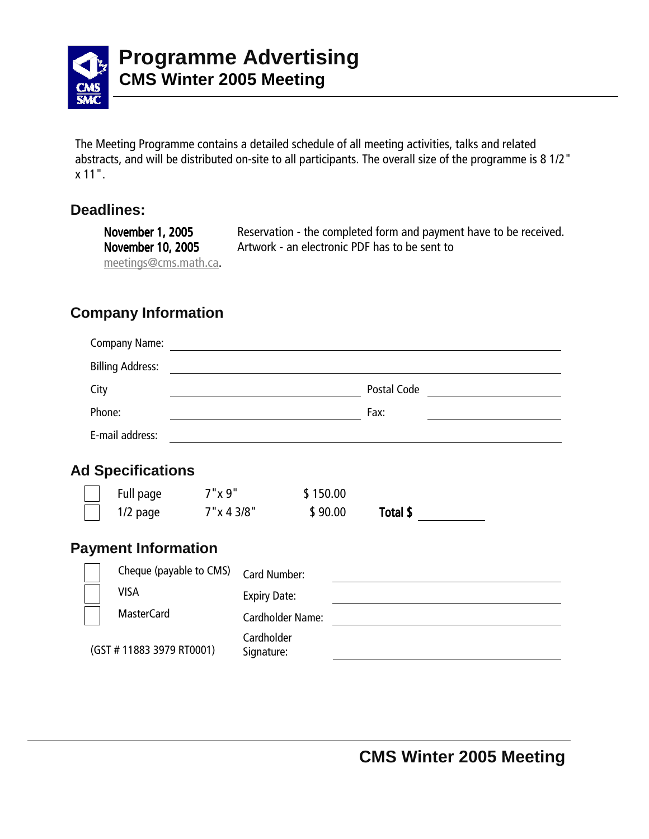

The Meeting Programme contains a detailed schedule of all meeting activities, talks and related abstracts, and will be distributed on-site to all participants. The overall size of the programme is 8 1/2" x 11".

#### **Deadlines:**

November 1, 2005 Reservation - the completed form and payment have to be received. November 10, 2005 Artwork - an electronic PDF has to be sent to meetings@cms.math.ca.

# **Company Information**

|        | Company Name:              |                |                                                                                 |          |             |  |
|--------|----------------------------|----------------|---------------------------------------------------------------------------------|----------|-------------|--|
|        | <b>Billing Address:</b>    |                |                                                                                 |          |             |  |
| City   |                            |                | the contract of the contract of the contract of the contract of the contract of |          | Postal Code |  |
| Phone: |                            |                |                                                                                 |          | Fax:        |  |
|        | E-mail address:            |                |                                                                                 |          |             |  |
|        | <b>Ad Specifications</b>   |                |                                                                                 |          |             |  |
|        | Full page                  | 7"x 9"         |                                                                                 | \$150.00 |             |  |
|        | $1/2$ page                 | $7''$ x 4 3/8" |                                                                                 | \$90.00  | Total \$    |  |
|        | <b>Payment Information</b> |                |                                                                                 |          |             |  |
|        | Cheque (payable to CMS)    |                | <b>Card Number:</b>                                                             |          |             |  |
|        | <b>VISA</b>                |                | <b>Expiry Date:</b>                                                             |          |             |  |
|        | <b>MasterCard</b>          |                | <b>Cardholder Name:</b>                                                         |          |             |  |
|        | (GST #11883 3979 RT0001)   |                | Cardholder<br>Signature:                                                        |          |             |  |
|        |                            |                |                                                                                 |          |             |  |
|        |                            |                |                                                                                 |          |             |  |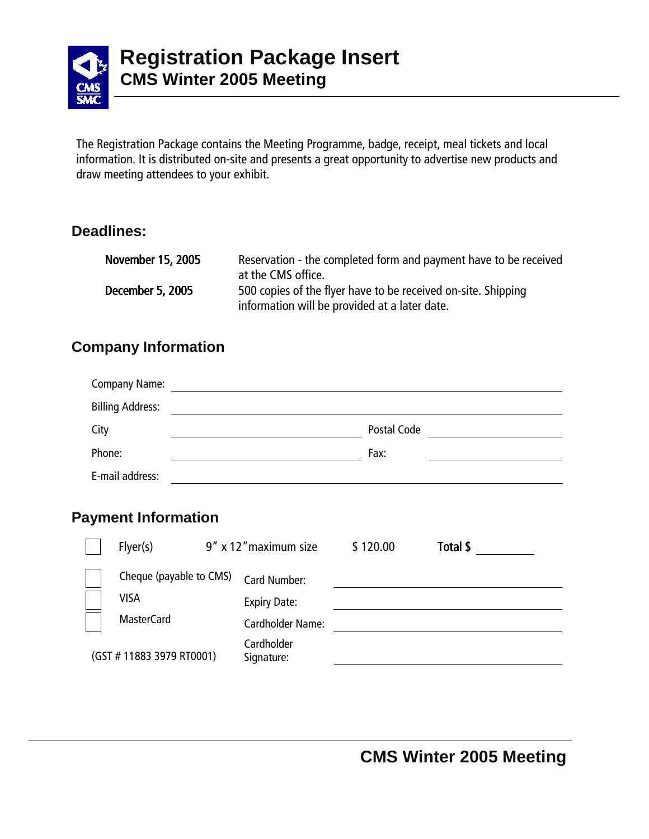

The Registration Package contains the Meeting Programme, badge, receipt, meal tickets and local information. It is distributed on-site and presents a great opportunity to advertise new products and draw meeting attendees to your exhibit.

## **Deadlines:**

| <b>November 15, 2005</b> | Reservation - the completed form and payment have to be received<br>at the CMS office.                         |
|--------------------------|----------------------------------------------------------------------------------------------------------------|
| December 5, 2005         | 500 copies of the flyer have to be received on-site. Shipping<br>information will be provided at a later date. |

## **Company Information**

| <b>Company Name:</b>    |             |  |
|-------------------------|-------------|--|
| <b>Billing Address:</b> |             |  |
| City                    | Postal Code |  |
| Phone:                  | Fax:        |  |
| E-mail address:         |             |  |

## **Payment Information**

| Flyer(s)                 | 9" x 12" maximum size    | \$120.00 | Total \$ |  |
|--------------------------|--------------------------|----------|----------|--|
| Cheque (payable to CMS)  | Card Number:             |          |          |  |
| <b>VISA</b>              | <b>Expiry Date:</b>      |          |          |  |
| <b>MasterCard</b>        | Cardholder Name:         |          |          |  |
| (GST #11883 3979 RT0001) | Cardholder<br>Signature: |          |          |  |
|                          |                          |          |          |  |

**CMS Winter 2005 Meeting**